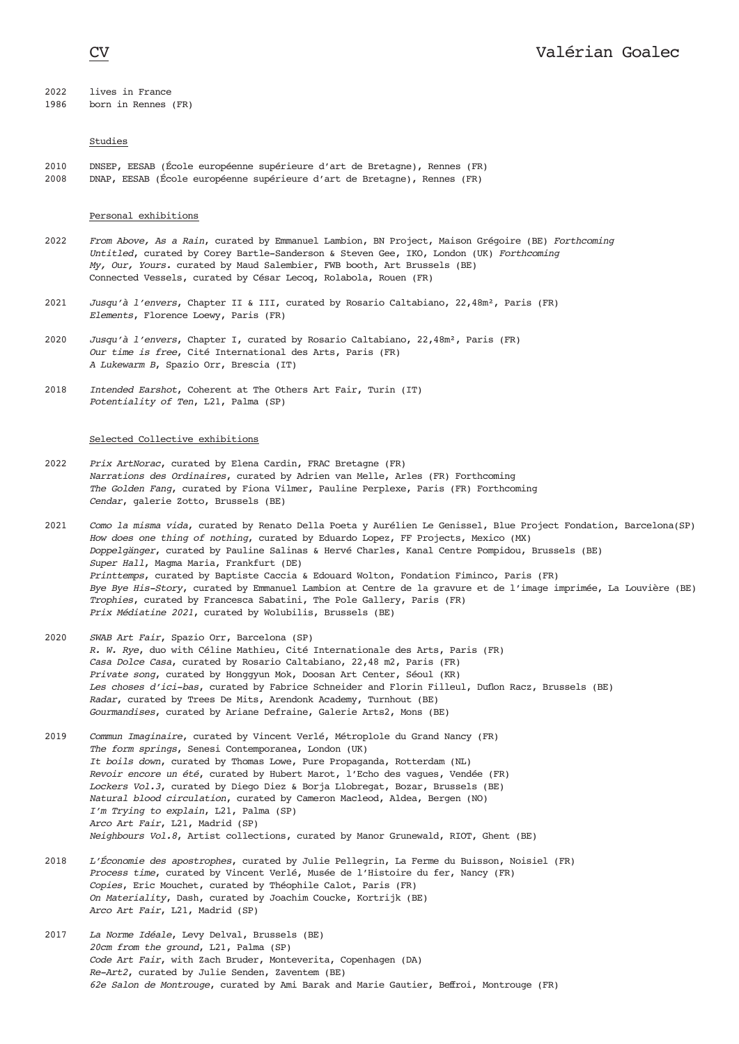# 2022 lives in France<br>1986 born in Rennes

born in Rennes (FR)

## Studies

2010 DNSEP, EESAB (École européenne supérieure d'art de Bretagne), Rennes (FR) 2008 DNAP, EESAB (École européenne supérieure d'art de Bretagne), Rennes (FR)

### Personal exhibitions

- 2022 *From Above, As a Rain*, curated by Emmanuel Lambion, BN Project, Maison Grégoire (BE) *Forthcoming Untitled*, curated by Corey Bartle-Sanderson & Steven Gee, IKO, London (UK) *Forthcoming My, Our, Yours.* curated by Maud Salembier, FWB booth, Art Brussels (BE) Connected Vessels, curated by César Lecoq, Rolabola, Rouen (FR)
- 2021 *Jusqu'à l'envers*, Chapter II & III, curated by Rosario Caltabiano, 22,48m², Paris (FR) *Elements*, Florence Loewy, Paris (FR)
- 2020 *Jusqu'à l'envers*, Chapter I, curated by Rosario Caltabiano, 22,48m², Paris (FR) *Our time is free*, Cité International des Arts, Paris (FR) *A Lukewarm B*, Spazio Orr, Brescia (IT)
- 2018 *Intended Earshot*, Coherent at The Others Art Fair, Turin (IT) *Potentiality of Ten*, L21, Palma (SP)

## Selected Collective exhibitions

- 2022 *Prix ArtNorac*, curated by Elena Cardin, FRAC Bretagne (FR) *Narrations des Ordinaires*, curated by Adrien van Melle, Arles (FR) Forthcoming *The Golden Fang*, curated by Fiona Vilmer, Pauline Perplexe, Paris (FR) Forthcoming *Cendar*, galerie Zotto, Brussels (BE)
- 2021 *Como la misma vida*, curated by Renato Della Poeta y Aurélien Le Genissel, Blue Project Fondation, Barcelona(SP) *How does one thing of nothing*, curated by Eduardo Lopez, FF Projects, Mexico (MX) *Doppelgänger*, curated by Pauline Salinas & Hervé Charles, Kanal Centre Pompidou, Brussels (BE) *Super Hall*, Magma Maria, Frankfurt (DE) *Printtemps*, curated by Baptiste Caccia & Edouard Wolton, Fondation Fiminco, Paris (FR) *Bye Bye His-Story*, curated by Emmanuel Lambion at Centre de la gravure et de l'image imprimée, La Louvière (BE) *Trophies*, curated by Francesca Sabatini, The Pole Gallery, Paris (FR) *Prix Médiatine 2021*, curated by Wolubilis, Brussels (BE)
- 2020 *SWAB Art Fair*, Spazio Orr, Barcelona (SP) *R. W. Rye*, duo with Céline Mathieu, Cité Internationale des Arts, Paris (FR) *Casa Dolce Casa*, curated by Rosario Caltabiano, 22,48 m2, Paris (FR) *Private song*, curated by Honggyun Mok, Doosan Art Center, Séoul (KR) *Les choses d'ici-bas*, curated by Fabrice Schneider and Florin Filleul, Duflon Racz, Brussels (BE) *Radar*, curated by Trees De Mits, Arendonk Academy, Turnhout (BE) *Gourmandises*, curated by Ariane Defraine, Galerie Arts2, Mons (BE)
- 2019 *Commun Imaginaire*, curated by Vincent Verlé, Métroplole du Grand Nancy (FR) *The form springs*, Senesi Contemporanea, London (UK) *It boils down*, curated by Thomas Lowe, Pure Propaganda, Rotterdam (NL) *Revoir encore un été*, curated by Hubert Marot, l'Echo des vagues, Vendée (FR) *Lockers Vol.3*, curated by Diego Diez & Borja Llobregat, Bozar, Brussels (BE) *Natural blood circulation*, curated by Cameron Macleod, Aldea, Bergen (NO) *I'm Trying to explain*, L21, Palma (SP) *Arco Art Fair*, L21, Madrid (SP) *Neighbours Vol.8*, Artist collections, curated by Manor Grunewald, RIOT, Ghent (BE)
- 2018 *L'Économie des apostrophes*, curated by Julie Pellegrin, La Ferme du Buisson, Noisiel (FR) *Process time*, curated by Vincent Verlé, Musée de l'Histoire du fer, Nancy (FR) *Copies*, Eric Mouchet, curated by Théophile Calot, Paris (FR) *On Materiality*, Dash, curated by Joachim Coucke, Kortrijk (BE) *Arco Art Fair*, L21, Madrid (SP)
- 2017 *La Norme Idéale*, Levy Delval, Brussels (BE) *20cm from the ground*, L21, Palma (SP) *Code Art Fair*, with Zach Bruder, Monteverita, Copenhagen (DA) *Re-Art2*, curated by Julie Senden, Zaventem (BE) *62e Salon de Montrouge*, curated by Ami Barak and Marie Gautier, Beffroi, Montrouge (FR)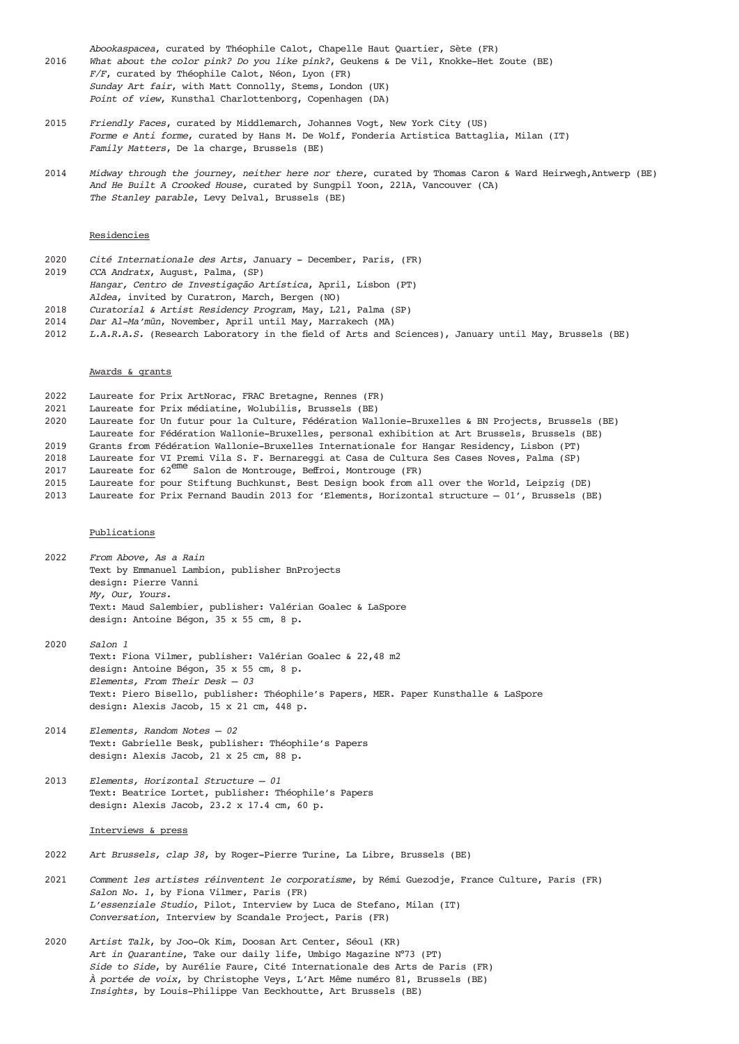- *Abookaspacea*, curated by Théophile Calot, Chapelle Haut Quartier, Sète (FR) 2016 *What about the color pink? Do you like pink?*, Geukens & De Vil, Knokke-Het Zoute (BE) *F/F*, curated by Théophile Calot, Néon, Lyon (FR) *Sunday Art fair*, with Matt Connolly, Stems, London (UK) *Point of view*, Kunsthal Charlottenborg, Copenhagen (DA)
- 2015 *Friendly Faces*, curated by Middlemarch, Johannes Vogt, New York City (US) *Forme e Anti forme*, curated by Hans M. De Wolf, Fonderia Artistica Battaglia, Milan (IT) *Family Matters*, De la charge, Brussels (BE)
- 2014 *Midway through the journey, neither here nor there*, curated by Thomas Caron & Ward Heirwegh,Antwerp (BE) *And He Built A Crooked House*, curated by Sungpil Yoon, 221A, Vancouver (CA) *The Stanley parable*, Levy Delval, Brussels (BE)

#### Residencies

- 2020 *Cité Internationale des Arts*, January December, Paris, (FR) 2019 *CCA Andratx*, August, Palma, (SP) *Hangar, Centro de Investigação Artística*, April, Lisbon (PT) *Aldea*, invited by Curatron, March, Bergen (NO)
- 2018 *Curatorial & Artist Residency Program*, May, L21, Palma (SP)
- 2014 *Dar Al-Ma'mûn*, November, April until May, Marrakech (MA)
- 2012 *L.A.R.A.S.* (Research Laboratory in the field of Arts and Sciences), January until May, Brussels (BE)

#### Awards & grants

- 2022 Laureate for Prix ArtNorac, FRAC Bretagne, Rennes (FR)
- 2021 Laureate for Prix médiatine, Wolubilis, Brussels (BE)
- 2020 Laureate for Un futur pour la Culture, Fédération Wallonie-Bruxelles & BN Projects, Brussels (BE)
- Laureate for Fédération Wallonie-Bruxelles, personal exhibition at Art Brussels, Brussels (BE)
- 2019 Grants from Fédération Wallonie-Bruxelles Internationale for Hangar Residency, Lisbon (PT)
- 2018 Laureate for VI Premi Vila S. F. Bernareggi at Casa de Cultura Ses Cases Noves, Palma (SP)
- 2010 Laureate for  $2e^{2\pi i}$  Salon de Montrouge, Beffroi, Montrouge (FR)
- 2015 Laureate for pour Stiftung Buchkunst, Best Design book from all over the World, Leipzig (DE)<br>2013 Laureate for Prix Fernand Baudin 2013 for 'Elements, Horizontal structure 01', Brussels (B
- Laureate for Prix Fernand Baudin 2013 for 'Elements, Horizontal structure 01', Brussels (BE)

#### Publications

- 2022 *From Above, As a Rain* Text by Emmanuel Lambion, publisher BnProjects design: Pierre Vanni *My, Our, Yours.* Text: Maud Salembier, publisher: Valérian Goalec & LaSpore design: Antoine Bégon, 35 x 55 cm, 8 p.
- 2020 *Salon 1* Text: Fiona Vilmer, publisher: Valérian Goalec & 22,48 m2 design: Antoine Bégon, 35 x 55 cm, 8 p. *Elements, From Their Desk — 03* Text: Piero Bisello, publisher: Théophile's Papers, MER. Paper Kunsthalle & LaSpore design: Alexis Jacob, 15 x 21 cm, 448 p.
- 2014 *Elements, Random Notes 02* Text: Gabrielle Besk, publisher: Théophile's Papers design: Alexis Jacob, 21 x 25 cm, 88 p.
- 2013 *Elements, Horizontal Structure 01* Text: Beatrice Lortet, publisher: Théophile's Papers design: Alexis Jacob, 23.2 x 17.4 cm, 60 p.

#### Interviews & press

- 2022 *Art Brussels, clap 38*, by Roger-Pierre Turine, La Libre, Brussels (BE)
- 2021 *Comment les artistes réinventent le corporatisme*, by Rémi Guezodje, France Culture, Paris (FR) *Salon No. 1*, by Fiona Vilmer, Paris (FR) *L'essenziale Studio*, Pilot, Interview by Luca de Stefano, Milan (IT) *Conversation*, Interview by Scandale Project, Paris (FR)
- 2020 *Artist Talk*, by Joo-Ok Kim, Doosan Art Center, Séoul (KR) *Art in Quarantine*, Take our daily life, Umbigo Magazine N°73 (PT) *Side to Side*, by Aurélie Faure, Cité Internationale des Arts de Paris (FR) *À portée de voix*, by Christophe Veys, L'Art Même numéro 81, Brussels (BE) *Insights*, by Louis-Philippe Van Eeckhoutte, Art Brussels (BE)